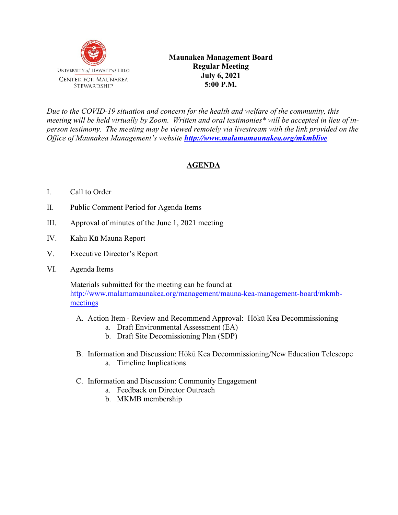

*Due to the COVID-19 situation and concern for the health and welfare of the community, this meeting will be held virtually by Zoom. Written and oral testimonies\* will be accepted in lieu of inperson testimony. The meeting may be viewed remotely via livestream with the link provided on the Office of Maunakea Management's website <http://www.malamamaunakea.org/mkmblive>.*

## **AGENDA**

- I. Call to Order
- II. Public Comment Period for Agenda Items
- III. Approval of minutes of the June 1, 2021 meeting
- IV. Kahu Kū Mauna Report
- V. Executive Director's Report
- VI. Agenda Items

Materials submitted for the meeting can be found at [http://www.malamamaunakea.org/management/mauna-kea-management-board/mkmb](http://www.malamamaunakea.org/management/mauna-kea-management-board/mkmb-meetings)[meetings](http://www.malamamaunakea.org/management/mauna-kea-management-board/mkmb-meetings)

- A. Action Item Review and Recommend Approval: Hōkū Kea Decommissioning
	- a. Draft Environmental Assessment (EA)
	- b. Draft Site Decomissioning Plan (SDP)
- B. Information and Discussion: Hōkū Kea Decommissioning/New Education Telescope a. Timeline Implications
- C. Information and Discussion: Community Engagement
	- a. Feedback on Director Outreach
	- b. MKMB membership